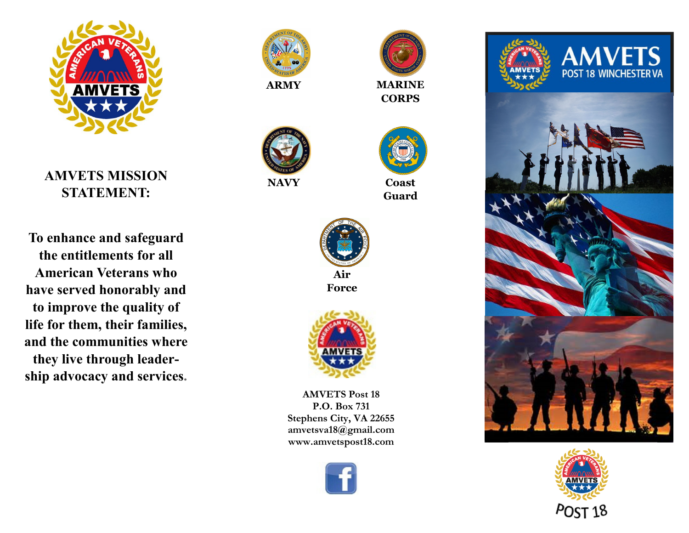

**AMVETS MISSION STATEMENT:** 

**To enhance and safeguard the entitlements for all American Veterans who have served honorably and to improve the quality of life for them, their families, and the communities where they live through leadership advocacy and services.**



**ARMY**



 **MARINE CORPS**



**NAVY**

**Coast** 

**Guard**



**Air Force**



**AMVETS Post 18 P.O. Box 731 Stephens City, VA 22655 amvetsva18@gmail.com www.amvetspost18.com**